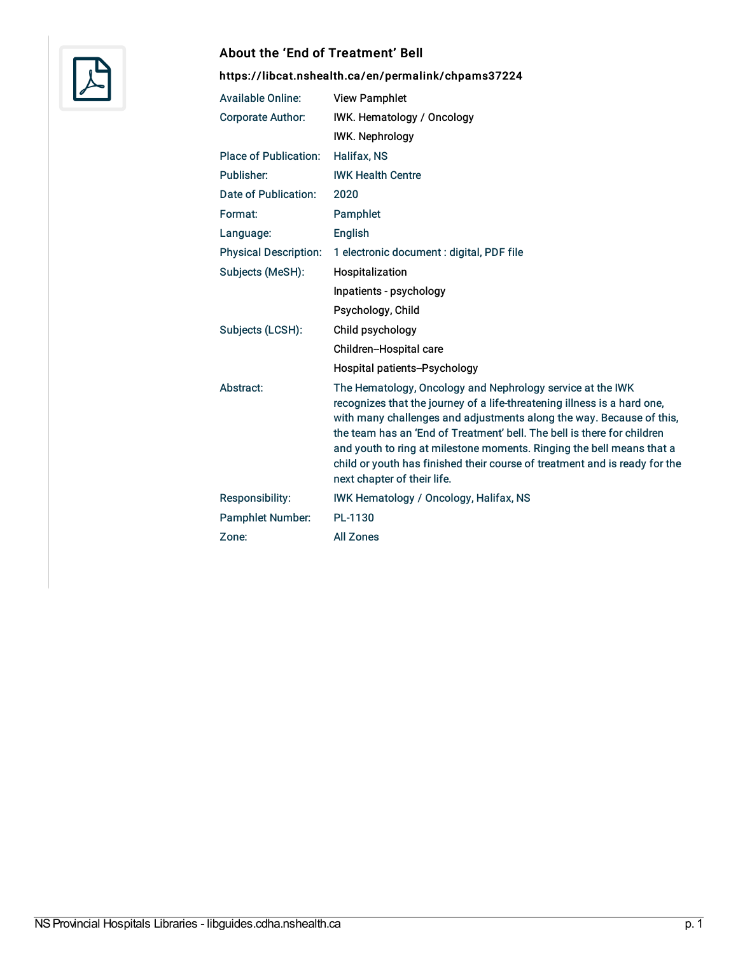

## About the 'End of Treatment' Bell

## <https://libcat.nshealth.ca/en/permalink/chpams37224>

| <b>Available Online:</b>     | <b>View Pamphlet</b>                                                                                                                                                                                                                                                                                                                                                                                                                                                            |
|------------------------------|---------------------------------------------------------------------------------------------------------------------------------------------------------------------------------------------------------------------------------------------------------------------------------------------------------------------------------------------------------------------------------------------------------------------------------------------------------------------------------|
| <b>Corporate Author:</b>     | IWK. Hematology / Oncology                                                                                                                                                                                                                                                                                                                                                                                                                                                      |
|                              | <b>IWK. Nephrology</b>                                                                                                                                                                                                                                                                                                                                                                                                                                                          |
| <b>Place of Publication:</b> | Halifax, NS                                                                                                                                                                                                                                                                                                                                                                                                                                                                     |
| Publisher:                   | <b>IWK Health Centre</b>                                                                                                                                                                                                                                                                                                                                                                                                                                                        |
| Date of Publication:         | 2020                                                                                                                                                                                                                                                                                                                                                                                                                                                                            |
| Format:                      | Pamphlet                                                                                                                                                                                                                                                                                                                                                                                                                                                                        |
| Language:                    | English                                                                                                                                                                                                                                                                                                                                                                                                                                                                         |
| <b>Physical Description:</b> | 1 electronic document : digital, PDF file                                                                                                                                                                                                                                                                                                                                                                                                                                       |
| Subjects (MeSH):             | Hospitalization                                                                                                                                                                                                                                                                                                                                                                                                                                                                 |
|                              | Inpatients - psychology                                                                                                                                                                                                                                                                                                                                                                                                                                                         |
|                              | Psychology, Child                                                                                                                                                                                                                                                                                                                                                                                                                                                               |
| Subjects (LCSH):             | Child psychology                                                                                                                                                                                                                                                                                                                                                                                                                                                                |
|                              | Children-Hospital care                                                                                                                                                                                                                                                                                                                                                                                                                                                          |
|                              | Hospital patients--Psychology                                                                                                                                                                                                                                                                                                                                                                                                                                                   |
| Abstract:                    | The Hematology, Oncology and Nephrology service at the IWK<br>recognizes that the journey of a life-threatening illness is a hard one,<br>with many challenges and adjustments along the way. Because of this,<br>the team has an 'End of Treatment' bell. The bell is there for children<br>and youth to ring at milestone moments. Ringing the bell means that a<br>child or youth has finished their course of treatment and is ready for the<br>next chapter of their life. |
| <b>Responsibility:</b>       | <b>IWK Hematology / Oncology, Halifax, NS</b>                                                                                                                                                                                                                                                                                                                                                                                                                                   |
| <b>Pamphlet Number:</b>      | PL-1130                                                                                                                                                                                                                                                                                                                                                                                                                                                                         |
| Zone:                        | <b>All Zones</b>                                                                                                                                                                                                                                                                                                                                                                                                                                                                |